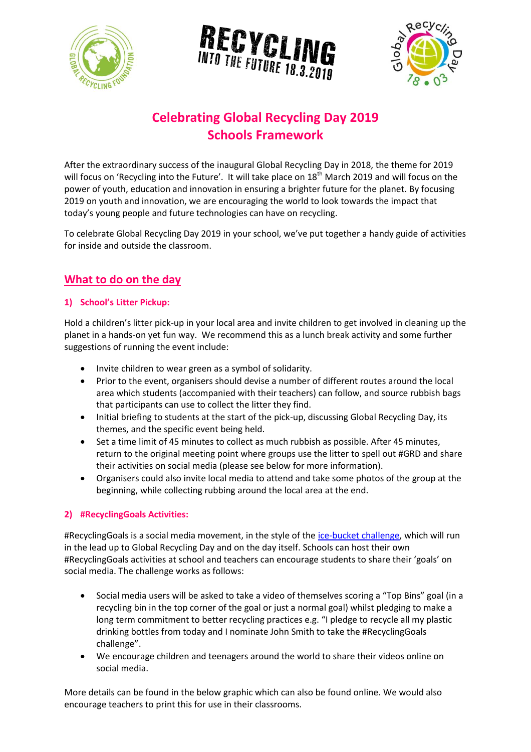





# **Celebrating Global Recycling Day 2019 Schools Framework**

After the extraordinary success of the inaugural Global Recycling Day in 2018, the theme for 2019 will focus on 'Recycling into the Future'. It will take place on 18<sup>th</sup> March 2019 and will focus on the power of youth, education and innovation in ensuring a brighter future for the planet. By focusing 2019 on youth and innovation, we are encouraging the world to look towards the impact that today's young people and future technologies can have on recycling.

To celebrate Global Recycling Day 2019 in your school, we've put together a handy guide of activities for inside and outside the classroom.

## **What to do on the day**

#### **1) School's Litter Pickup:**

Hold a children's litter pick-up in your local area and invite children to get involved in cleaning up the planet in a hands-on yet fun way. We recommend this as a lunch break activity and some further suggestions of running the event include:

- Invite children to wear green as a symbol of solidarity.
- Prior to the event, organisers should devise a number of different routes around the local area which students (accompanied with their teachers) can follow, and source rubbish bags that participants can use to collect the litter they find.
- Initial briefing to students at the start of the pick-up, discussing Global Recycling Day, its themes, and the specific event being held.
- Set a time limit of 45 minutes to collect as much rubbish as possible. After 45 minutes, return to the original meeting point where groups use the litter to spell out #GRD and share their activities on social media (please see below for more information).
- Organisers could also invite local media to attend and take some photos of the group at the beginning, while collecting rubbing around the local area at the end.

#### **2) #RecyclingGoals Activities:**

#RecyclingGoals is a social media movement, in the style of the [ice-bucket challenge,](https://en.wikipedia.org/wiki/Ice_Bucket_Challenge) which will run in the lead up to Global Recycling Day and on the day itself. Schools can host their own #RecyclingGoals activities at school and teachers can encourage students to share their 'goals' on social media. The challenge works as follows:

- Social media users will be asked to take a video of themselves scoring a "Top Bins" goal (in a recycling bin in the top corner of the goal or just a normal goal) whilst pledging to make a long term commitment to better recycling practices e.g. "I pledge to recycle all my plastic drinking bottles from today and I nominate John Smith to take the #RecyclingGoals challenge".
- We encourage children and teenagers around the world to share their videos online on social media.

More details can be found in the below graphic which can also be found online. We would also encourage teachers to print this for use in their classrooms.